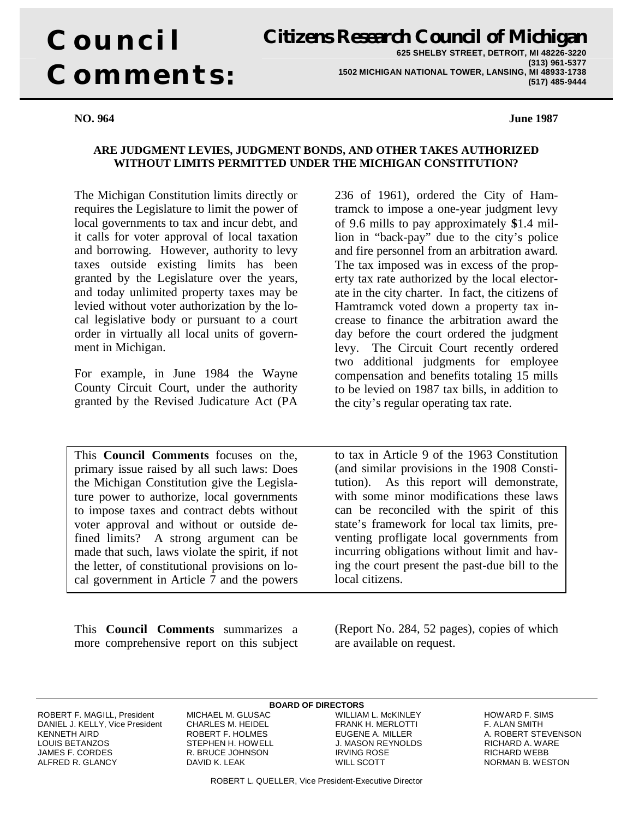# **Council Comments:**

**Citizens Research Council of Michigan 625 SHELBY STREET, DETROIT, MI 48226-3220 (313) 961-5377 1502 MICHIGAN NATIONAL TOWER, LANSING, MI 48933-1738 (517) 485-9444**

#### **NO. 964 June 1987**

#### **ARE JUDGMENT LEVIES, JUDGMENT BONDS, AND OTHER TAKES AUTHORIZED WITHOUT LIMITS PERMITTED UNDER THE MICHIGAN CONSTITUTION?**

The Michigan Constitution limits directly or requires the Legislature to limit the power of local governments to tax and incur debt, and it calls for voter approval of local taxation and borrowing. However, authority to levy taxes outside existing limits has been granted by the Legislature over the years, and today unlimited property taxes may be levied without voter authorization by the local legislative body or pursuant to a court order in virtually all local units of government in Michigan.

For example, in June 1984 the Wayne County Circuit Court, under the authority granted by the Revised Judicature Act (PA

This **Council Comments** focuses on the, primary issue raised by all such laws: Does the Michigan Constitution give the Legislature power to authorize, local governments to impose taxes and contract debts without voter approval and without or outside defined limits? A strong argument can be made that such, laws violate the spirit, if not the letter, of constitutional provisions on local government in Article 7 and the powers

This **Council Comments** summarizes a more comprehensive report on this subject 236 of 1961), ordered the City of Hamtramck to impose a one-year judgment levy of 9.6 mills to pay approximately **\$**1.4 million in "back-pay" due to the city's police and fire personnel from an arbitration award. The tax imposed was in excess of the property tax rate authorized by the local electorate in the city charter. In fact, the citizens of Hamtramck voted down a property tax increase to finance the arbitration award the day before the court ordered the judgment levy. The Circuit Court recently ordered two additional judgments for employee compensation and benefits totaling 15 mills to be levied on 1987 tax bills, in addition to the city's regular operating tax rate.

to tax in Article 9 of the 1963 Constitution (and similar provisions in the 1908 Constitution). As this report will demonstrate, with some minor modifications these laws can be reconciled with the spirit of this state's framework for local tax limits, preventing profligate local governments from incurring obligations without limit and having the court present the past-due bill to the local citizens.

(Report No. 284, 52 pages), copies of which are available on request.

DANIEL J. KELLY, Vice President CHARLES M. HEIDEL FRANK H. MERLOTTI F. ALAN SMITH KENNETH AIRD ROBERT F. HOLMES EUGENE A. MILLER A. ROBERT STEVENSON LOUIS BETANZOS STEPHEN H. HOWELL J. MASON REYNOLDS RICHARD A. WARE ALFRED R. GLANCY DAVID K. LEAK WILL SCOTT NORMAN B. WESTON

ROBERT F. MAGILL, President MICHAEL M. GLUSAC WILLIAM L. McKINLEY HOWARD F. SIMS R. BRUCE JOHNSON

# **BOARD OF DIRECTORS**<br>MICHAEL M. GLUSAC WILLIAM L. McKINLEY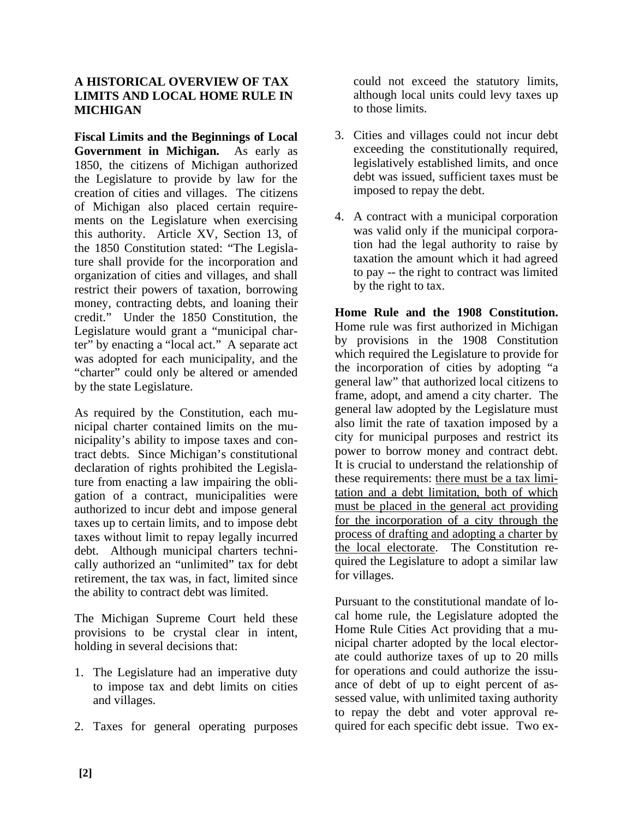#### **A HISTORICAL OVERVIEW OF TAX LIMITS AND LOCAL HOME RULE IN MICHIGAN**

**Fiscal Limits and the Beginnings of Local Government in Michigan.** As early as 1850, the citizens of Michigan authorized the Legislature to provide by law for the creation of cities and villages. The citizens of Michigan also placed certain requirements on the Legislature when exercising this authority. Article XV, Section 13, of the 1850 Constitution stated: "The Legislature shall provide for the incorporation and organization of cities and villages, and shall restrict their powers of taxation, borrowing money, contracting debts, and loaning their credit." Under the 1850 Constitution, the Legislature would grant a "municipal charter" by enacting a "local act." A separate act was adopted for each municipality, and the "charter" could only be altered or amended by the state Legislature.

As required by the Constitution, each municipal charter contained limits on the municipality's ability to impose taxes and contract debts. Since Michigan's constitutional declaration of rights prohibited the Legislature from enacting a law impairing the obligation of a contract, municipalities were authorized to incur debt and impose general taxes up to certain limits, and to impose debt taxes without limit to repay legally incurred debt. Although municipal charters technically authorized an "unlimited" tax for debt retirement, the tax was, in fact, limited since the ability to contract debt was limited.

The Michigan Supreme Court held these provisions to be crystal clear in intent, holding in several decisions that:

- 1. The Legislature had an imperative duty to impose tax and debt limits on cities and villages.
- 2. Taxes for general operating purposes

could not exceed the statutory limits, although local units could levy taxes up to those limits.

- 3. Cities and villages could not incur debt exceeding the constitutionally required, legislatively established limits, and once debt was issued, sufficient taxes must be imposed to repay the debt.
- 4. A contract with a municipal corporation was valid only if the municipal corporation had the legal authority to raise by taxation the amount which it had agreed to pay -- the right to contract was limited by the right to tax.

**Home Rule and the 1908 Constitution.** Home rule was first authorized in Michigan by provisions in the 1908 Constitution which required the Legislature to provide for the incorporation of cities by adopting "a general law" that authorized local citizens to frame, adopt, and amend a city charter. The general law adopted by the Legislature must also limit the rate of taxation imposed by a city for municipal purposes and restrict its power to borrow money and contract debt. It is crucial to understand the relationship of these requirements: there must be a tax limitation and a debt limitation, both of which must be placed in the general act providing for the incorporation of a city through the process of drafting and adopting a charter by the local electorate. The Constitution required the Legislature to adopt a similar law for villages.

Pursuant to the constitutional mandate of local home rule, the Legislature adopted the Home Rule Cities Act providing that a municipal charter adopted by the local electorate could authorize taxes of up to 20 mills for operations and could authorize the issuance of debt of up to eight percent of assessed value, with unlimited taxing authority to repay the debt and voter approval required for each specific debt issue. Two ex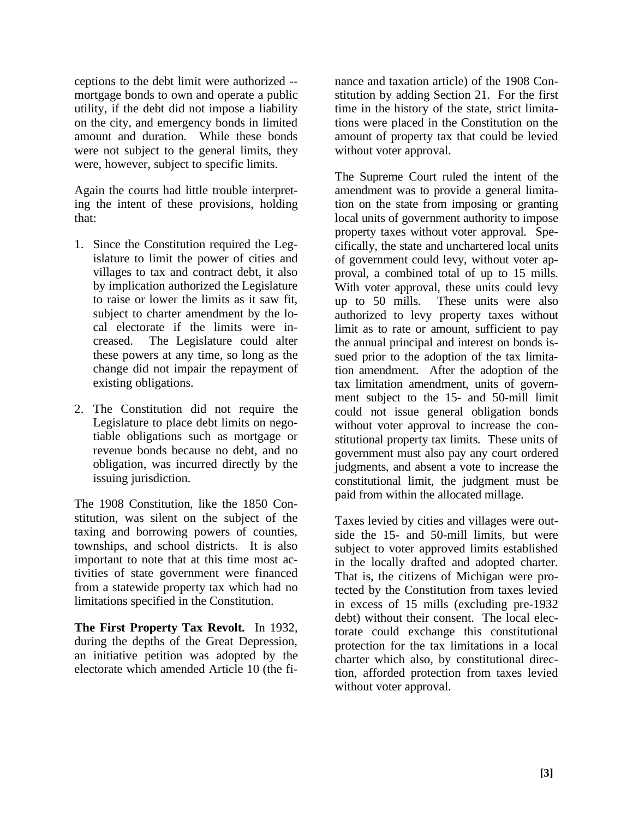ceptions to the debt limit were authorized - mortgage bonds to own and operate a public utility, if the debt did not impose a liability on the city, and emergency bonds in limited amount and duration. While these bonds were not subject to the general limits, they were, however, subject to specific limits.

Again the courts had little trouble interpreting the intent of these provisions, holding that:

- 1. Since the Constitution required the Legislature to limit the power of cities and villages to tax and contract debt, it also by implication authorized the Legislature to raise or lower the limits as it saw fit, subject to charter amendment by the local electorate if the limits were increased. The Legislature could alter these powers at any time, so long as the change did not impair the repayment of existing obligations.
- 2. The Constitution did not require the Legislature to place debt limits on negotiable obligations such as mortgage or revenue bonds because no debt, and no obligation, was incurred directly by the issuing jurisdiction.

The 1908 Constitution, like the 1850 Constitution, was silent on the subject of the taxing and borrowing powers of counties, townships, and school districts. It is also important to note that at this time most activities of state government were financed from a statewide property tax which had no limitations specified in the Constitution.

**The First Property Tax Revolt.** In 1932, during the depths of the Great Depression, an initiative petition was adopted by the electorate which amended Article 10 (the finance and taxation article) of the 1908 Constitution by adding Section 21. For the first time in the history of the state, strict limitations were placed in the Constitution on the amount of property tax that could be levied without voter approval.

The Supreme Court ruled the intent of the amendment was to provide a general limitation on the state from imposing or granting local units of government authority to impose property taxes without voter approval. Specifically, the state and unchartered local units of government could levy, without voter approval, a combined total of up to 15 mills. With voter approval, these units could levy up to 50 mills. These units were also authorized to levy property taxes without limit as to rate or amount, sufficient to pay the annual principal and interest on bonds issued prior to the adoption of the tax limitation amendment. After the adoption of the tax limitation amendment, units of government subject to the 15- and 50-mill limit could not issue general obligation bonds without voter approval to increase the constitutional property tax limits. These units of government must also pay any court ordered judgments, and absent a vote to increase the constitutional limit, the judgment must be paid from within the allocated millage.

Taxes levied by cities and villages were outside the 15- and 50-mill limits, but were subject to voter approved limits established in the locally drafted and adopted charter. That is, the citizens of Michigan were protected by the Constitution from taxes levied in excess of 15 mills (excluding pre-1932 debt) without their consent. The local electorate could exchange this constitutional protection for the tax limitations in a local charter which also, by constitutional direction, afforded protection from taxes levied without voter approval.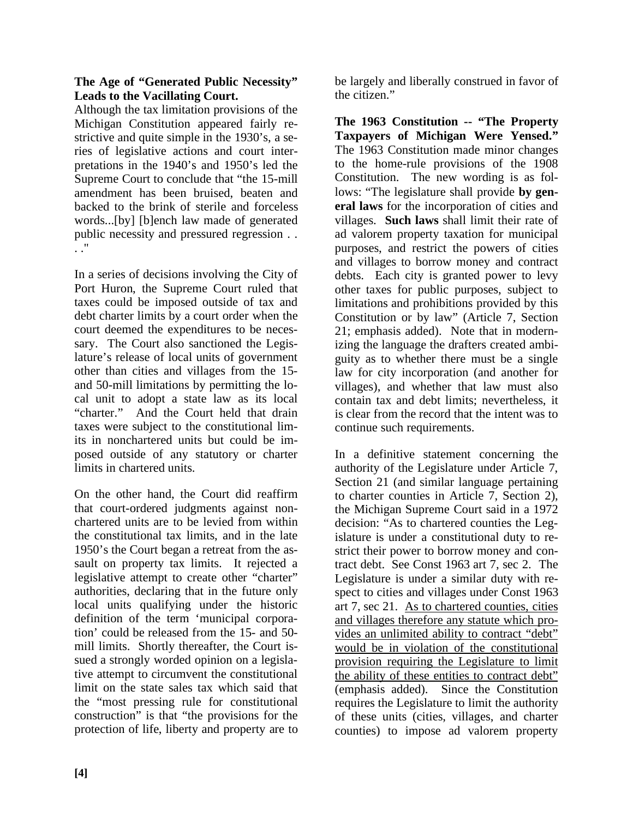#### **The Age of "Generated Public Necessity" Leads to the Vacillating Court.**

Although the tax limitation provisions of the Michigan Constitution appeared fairly restrictive and quite simple in the 1930's, a series of legislative actions and court interpretations in the 1940's and 1950's led the Supreme Court to conclude that "the 15-mill amendment has been bruised, beaten and backed to the brink of sterile and forceless words...[by] [b]ench law made of generated public necessity and pressured regression . . . ."

In a series of decisions involving the City of Port Huron, the Supreme Court ruled that taxes could be imposed outside of tax and debt charter limits by a court order when the court deemed the expenditures to be necessary. The Court also sanctioned the Legislature's release of local units of government other than cities and villages from the 15 and 50-mill limitations by permitting the local unit to adopt a state law as its local "charter." And the Court held that drain taxes were subject to the constitutional limits in nonchartered units but could be imposed outside of any statutory or charter limits in chartered units.

On the other hand, the Court did reaffirm that court-ordered judgments against nonchartered units are to be levied from within the constitutional tax limits, and in the late 1950's the Court began a retreat from the assault on property tax limits. It rejected a legislative attempt to create other "charter" authorities, declaring that in the future only local units qualifying under the historic definition of the term 'municipal corporation' could be released from the 15- and 50 mill limits. Shortly thereafter, the Court issued a strongly worded opinion on a legislative attempt to circumvent the constitutional limit on the state sales tax which said that the "most pressing rule for constitutional construction" is that "the provisions for the protection of life, liberty and property are to

be largely and liberally construed in favor of the citizen."

**The 1963 Constitution -- "The Property Taxpayers of Michigan Were Yensed."** The 1963 Constitution made minor changes to the home-rule provisions of the 1908 Constitution. The new wording is as follows: "The legislature shall provide **by general laws** for the incorporation of cities and villages. **Such laws** shall limit their rate of ad valorem property taxation for municipal purposes, and restrict the powers of cities and villages to borrow money and contract debts. Each city is granted power to levy other taxes for public purposes, subject to limitations and prohibitions provided by this Constitution or by law" (Article 7, Section 21; emphasis added). Note that in modernizing the language the drafters created ambiguity as to whether there must be a single law for city incorporation (and another for villages), and whether that law must also contain tax and debt limits; nevertheless, it is clear from the record that the intent was to continue such requirements.

In a definitive statement concerning the authority of the Legislature under Article 7, Section 21 (and similar language pertaining to charter counties in Article 7, Section 2), the Michigan Supreme Court said in a 1972 decision: "As to chartered counties the Legislature is under a constitutional duty to restrict their power to borrow money and contract debt. See Const 1963 art 7, sec 2. The Legislature is under a similar duty with respect to cities and villages under Const 1963 art 7, sec 21. As to chartered counties, cities and villages therefore any statute which provides an unlimited ability to contract "debt" would be in violation of the constitutional provision requiring the Legislature to limit the ability of these entities to contract debt" (emphasis added). Since the Constitution requires the Legislature to limit the authority of these units (cities, villages, and charter counties) to impose ad valorem property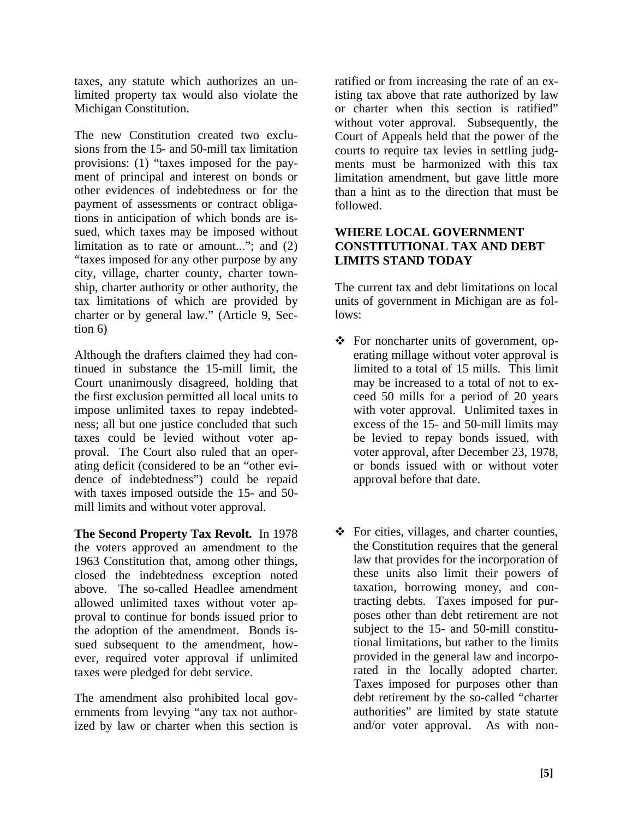taxes, any statute which authorizes an unlimited property tax would also violate the Michigan Constitution.

The new Constitution created two exclusions from the 15- and 50-mill tax limitation provisions: (1) "taxes imposed for the payment of principal and interest on bonds or other evidences of indebtedness or for the payment of assessments or contract obligations in anticipation of which bonds are issued, which taxes may be imposed without limitation as to rate or amount..."; and (2) "taxes imposed for any other purpose by any city, village, charter county, charter township, charter authority or other authority, the tax limitations of which are provided by charter or by general law." (Article 9, Section 6)

Although the drafters claimed they had continued in substance the 15-mill limit, the Court unanimously disagreed, holding that the first exclusion permitted all local units to impose unlimited taxes to repay indebtedness; all but one justice concluded that such taxes could be levied without voter approval. The Court also ruled that an operating deficit (considered to be an "other evidence of indebtedness") could be repaid with taxes imposed outside the 15- and 50 mill limits and without voter approval.

**The Second Property Tax Revolt.** In 1978 the voters approved an amendment to the 1963 Constitution that, among other things, closed the indebtedness exception noted above. The so-called Headlee amendment allowed unlimited taxes without voter approval to continue for bonds issued prior to the adoption of the amendment. Bonds issued subsequent to the amendment, however, required voter approval if unlimited taxes were pledged for debt service.

The amendment also prohibited local governments from levying "any tax not authorized by law or charter when this section is ratified or from increasing the rate of an existing tax above that rate authorized by law or charter when this section is ratified" without voter approval. Subsequently, the Court of Appeals held that the power of the courts to require tax levies in settling judgments must be harmonized with this tax limitation amendment, but gave little more than a hint as to the direction that must be followed.

## **WHERE LOCAL GOVERNMENT CONSTITUTIONAL TAX AND DEBT LIMITS STAND TODAY**

The current tax and debt limitations on local units of government in Michigan are as follows:

- For noncharter units of government, operating millage without voter approval is limited to a total of 15 mills. This limit may be increased to a total of not to exceed 50 mills for a period of 20 years with voter approval. Unlimited taxes in excess of the 15- and 50-mill limits may be levied to repay bonds issued, with voter approval, after December 23, 1978, or bonds issued with or without voter approval before that date.
- $\bullet$  For cities, villages, and charter counties, the Constitution requires that the general law that provides for the incorporation of these units also limit their powers of taxation, borrowing money, and contracting debts. Taxes imposed for purposes other than debt retirement are not subject to the 15- and 50-mill constitutional limitations, but rather to the limits provided in the general law and incorporated in the locally adopted charter. Taxes imposed for purposes other than debt retirement by the so-called "charter authorities" are limited by state statute and/or voter approval. As with non-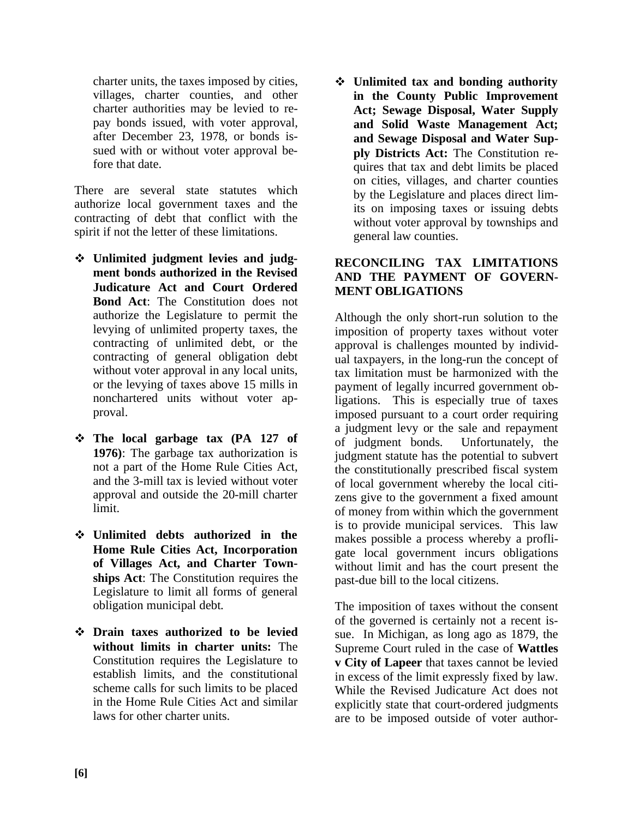charter units, the taxes imposed by cities, villages, charter counties, and other charter authorities may be levied to repay bonds issued, with voter approval, after December 23, 1978, or bonds issued with or without voter approval before that date.

There are several state statutes which authorize local government taxes and the contracting of debt that conflict with the spirit if not the letter of these limitations.

- **Unlimited judgment levies and judgment bonds authorized in the Revised Judicature Act and Court Ordered Bond Act**: The Constitution does not authorize the Legislature to permit the levying of unlimited property taxes, the contracting of unlimited debt, or the contracting of general obligation debt without voter approval in any local units, or the levying of taxes above 15 mills in nonchartered units without voter approval.
- **The local garbage tax (PA 127 of 1976)**: The garbage tax authorization is not a part of the Home Rule Cities Act, and the 3-mill tax is levied without voter approval and outside the 20-mill charter limit.
- **Unlimited debts authorized in the Home Rule Cities Act, Incorporation of Villages Act, and Charter Townships Act**: The Constitution requires the Legislature to limit all forms of general obligation municipal debt.
- **Drain taxes authorized to be levied without limits in charter units:** The Constitution requires the Legislature to establish limits, and the constitutional scheme calls for such limits to be placed in the Home Rule Cities Act and similar laws for other charter units.

 **Unlimited tax and bonding authority in the County Public Improvement Act; Sewage Disposal, Water Supply and Solid Waste Management Act; and Sewage Disposal and Water Supply Districts Act:** The Constitution requires that tax and debt limits be placed on cities, villages, and charter counties by the Legislature and places direct limits on imposing taxes or issuing debts without voter approval by townships and general law counties.

## **RECONCILING TAX LIMITATIONS AND THE PAYMENT OF GOVERN-MENT OBLIGATIONS**

Although the only short-run solution to the imposition of property taxes without voter approval is challenges mounted by individual taxpayers, in the long-run the concept of tax limitation must be harmonized with the payment of legally incurred government obligations. This is especially true of taxes imposed pursuant to a court order requiring a judgment levy or the sale and repayment of judgment bonds. Unfortunately, the judgment statute has the potential to subvert the constitutionally prescribed fiscal system of local government whereby the local citizens give to the government a fixed amount of money from within which the government is to provide municipal services. This law makes possible a process whereby a profligate local government incurs obligations without limit and has the court present the past-due bill to the local citizens.

The imposition of taxes without the consent of the governed is certainly not a recent issue. In Michigan, as long ago as 1879, the Supreme Court ruled in the case of **Wattles v City of Lapeer** that taxes cannot be levied in excess of the limit expressly fixed by law. While the Revised Judicature Act does not explicitly state that court-ordered judgments are to be imposed outside of voter author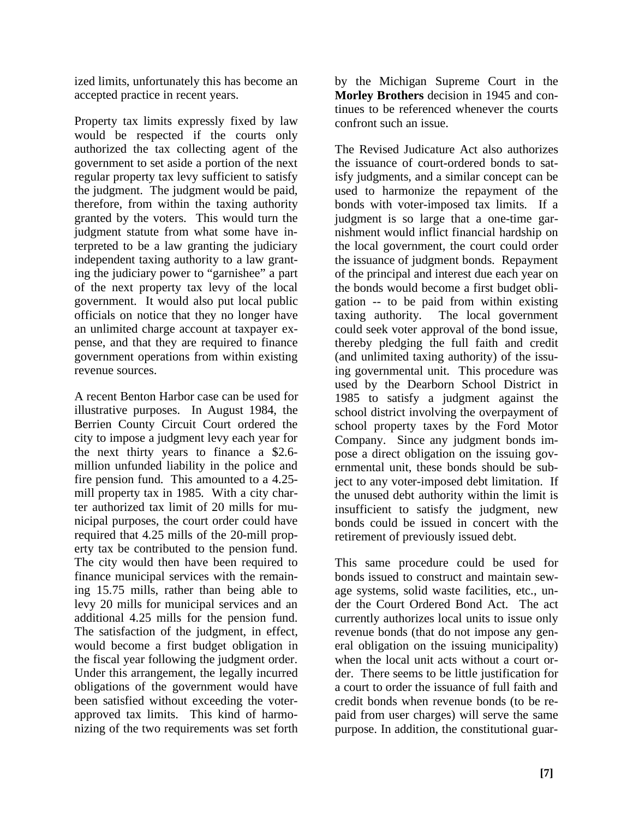ized limits, unfortunately this has become an accepted practice in recent years.

Property tax limits expressly fixed by law would be respected if the courts only authorized the tax collecting agent of the government to set aside a portion of the next regular property tax levy sufficient to satisfy the judgment. The judgment would be paid, therefore, from within the taxing authority granted by the voters. This would turn the judgment statute from what some have interpreted to be a law granting the judiciary independent taxing authority to a law granting the judiciary power to "garnishee" a part of the next property tax levy of the local government. It would also put local public officials on notice that they no longer have an unlimited charge account at taxpayer expense, and that they are required to finance government operations from within existing revenue sources.

A recent Benton Harbor case can be used for illustrative purposes. In August 1984, the Berrien County Circuit Court ordered the city to impose a judgment levy each year for the next thirty years to finance a \$2.6 million unfunded liability in the police and fire pension fund. This amounted to a 4.25 mill property tax in 1985. With a city charter authorized tax limit of 20 mills for municipal purposes, the court order could have required that 4.25 mills of the 20-mill property tax be contributed to the pension fund. The city would then have been required to finance municipal services with the remaining 15.75 mills, rather than being able to levy 20 mills for municipal services and an additional 4.25 mills for the pension fund. The satisfaction of the judgment, in effect, would become a first budget obligation in the fiscal year following the judgment order. Under this arrangement, the legally incurred obligations of the government would have been satisfied without exceeding the voterapproved tax limits. This kind of harmonizing of the two requirements was set forth by the Michigan Supreme Court in the **Morley Brothers** decision in 1945 and continues to be referenced whenever the courts confront such an issue.

The Revised Judicature Act also authorizes the issuance of court-ordered bonds to satisfy judgments, and a similar concept can be used to harmonize the repayment of the bonds with voter-imposed tax limits. If a judgment is so large that a one-time garnishment would inflict financial hardship on the local government, the court could order the issuance of judgment bonds. Repayment of the principal and interest due each year on the bonds would become a first budget obligation -- to be paid from within existing taxing authority. The local government could seek voter approval of the bond issue, thereby pledging the full faith and credit (and unlimited taxing authority) of the issuing governmental unit. This procedure was used by the Dearborn School District in 1985 to satisfy a judgment against the school district involving the overpayment of school property taxes by the Ford Motor Company. Since any judgment bonds impose a direct obligation on the issuing governmental unit, these bonds should be subject to any voter-imposed debt limitation. If the unused debt authority within the limit is insufficient to satisfy the judgment, new bonds could be issued in concert with the retirement of previously issued debt.

This same procedure could be used for bonds issued to construct and maintain sewage systems, solid waste facilities, etc., under the Court Ordered Bond Act. The act currently authorizes local units to issue only revenue bonds (that do not impose any general obligation on the issuing municipality) when the local unit acts without a court order. There seems to be little justification for a court to order the issuance of full faith and credit bonds when revenue bonds (to be repaid from user charges) will serve the same purpose. In addition, the constitutional guar